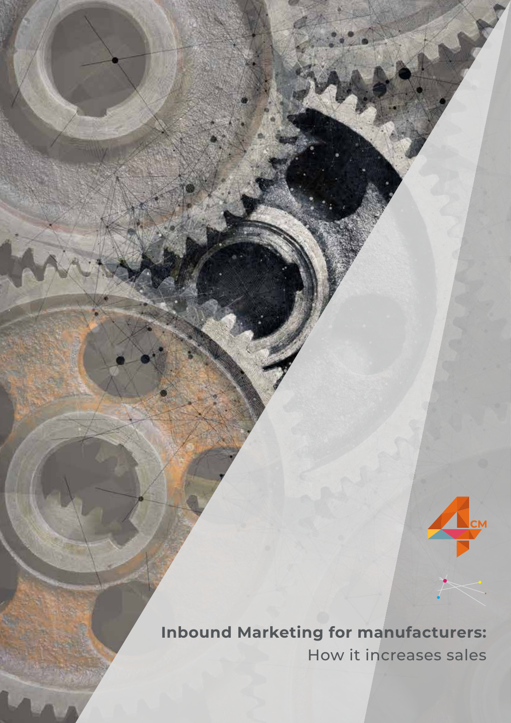**Inbound Marketing for manufacturers:** How it increases sales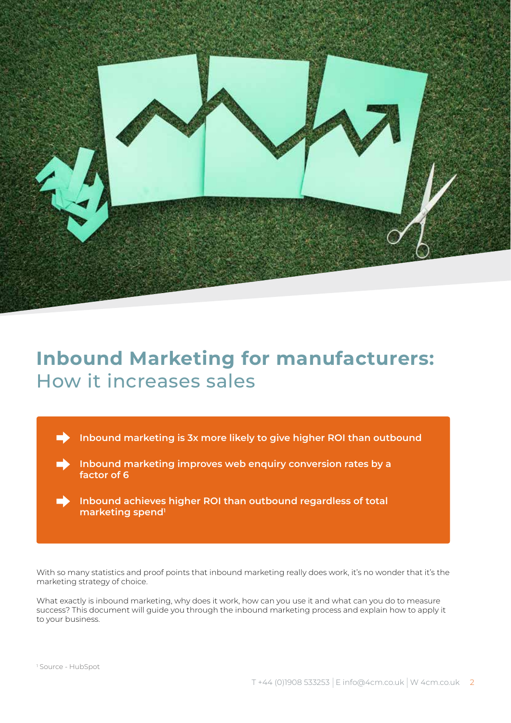

# **Inbound Marketing for manufacturers:** How it increases sales

**Inbound marketing is 3x more likely to give higher ROI than outbound**

**Inbound marketing improves web enquiry conversion rates by a**  D **factor of 6**



With so many statistics and proof points that inbound marketing really does work, it's no wonder that it's the marketing strategy of choice.

What exactly is inbound marketing, why does it work, how can you use it and what can you do to measure success? This document will guide you through the inbound marketing process and explain how to apply it to your business.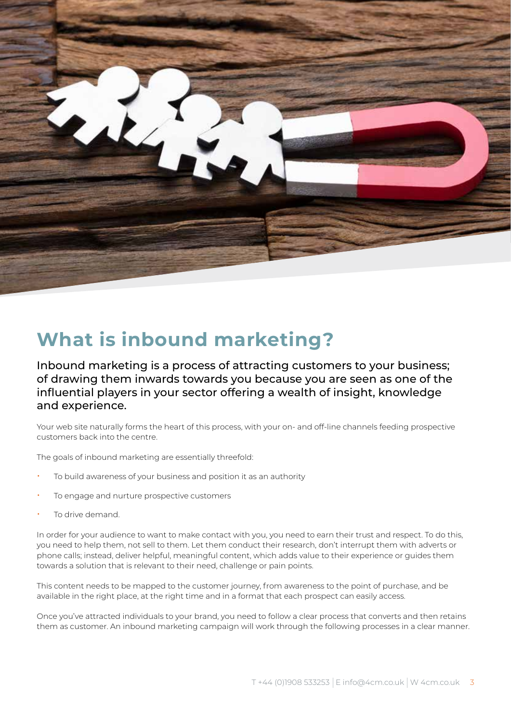

# **What is inbound marketing?**

Inbound marketing is a process of attracting customers to your business; of drawing them inwards towards you because you are seen as one of the influential players in your sector offering a wealth of insight, knowledge and experience.

Your web site naturally forms the heart of this process, with your on- and off-line channels feeding prospective customers back into the centre.

The goals of inbound marketing are essentially threefold:

- To build awareness of your business and position it as an authority
- To engage and nurture prospective customers
- To drive demand.

In order for your audience to want to make contact with you, you need to earn their trust and respect. To do this, you need to help them, not sell to them. Let them conduct their research, don't interrupt them with adverts or phone calls; instead, deliver helpful, meaningful content, which adds value to their experience or guides them towards a solution that is relevant to their need, challenge or pain points.

This content needs to be mapped to the customer journey, from awareness to the point of purchase, and be available in the right place, at the right time and in a format that each prospect can easily access.

Once you've attracted individuals to your brand, you need to follow a clear process that converts and then retains them as customer. An inbound marketing campaign will work through the following processes in a clear manner.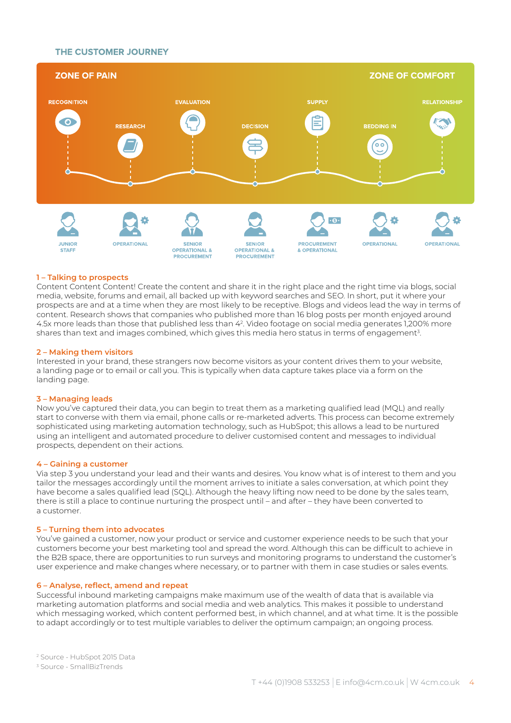### THE CUSTOMER JOURNEY



### **1 – Talking to prospects**

Content Content Content! Create the content and share it in the right place and the right time via blogs, social media, website, forums and email, all backed up with keyword searches and SEO. In short, put it where your prospects are and at a time when they are most likely to be receptive. Blogs and videos lead the way in terms of content. Research shows that companies who published more than 16 blog posts per month enjoyed around 4.5x more leads than those that published less than 42. Video footage on social media generates 1,200% more shares than text and images combined, which gives this media hero status in terms of engagement $^{\text{3}}$ .

### **2 – Making them visitors**

Interested in your brand, these strangers now become visitors as your content drives them to your website, a landing page or to email or call you. This is typically when data capture takes place via a form on the landing page.

### **3 – Managing leads**

Now you've captured their data, you can begin to treat them as a marketing qualified lead (MQL) and really start to converse with them via email, phone calls or re-marketed adverts. This process can become extremely sophisticated using marketing automation technology, such as HubSpot; this allows a lead to be nurtured using an intelligent and automated procedure to deliver customised content and messages to individual prospects, dependent on their actions.

#### **4 – Gaining a customer**

Via step 3 you understand your lead and their wants and desires. You know what is of interest to them and you tailor the messages accordingly until the moment arrives to initiate a sales conversation, at which point they have become a sales qualified lead (SQL). Although the heavy lifting now need to be done by the sales team, there is still a place to continue nurturing the prospect until – and after – they have been converted to a customer.

#### **5 – Turning them into advocates**

You've gained a customer, now your product or service and customer experience needs to be such that your customers become your best marketing tool and spread the word. Although this can be difficult to achieve in the B2B space, there are opportunities to run surveys and monitoring programs to understand the customer's user experience and make changes where necessary, or to partner with them in case studies or sales events.

#### **6 – Analyse, reflect, amend and repeat**

Successful inbound marketing campaigns make maximum use of the wealth of data that is available via marketing automation platforms and social media and web analytics. This makes it possible to understand which messaging worked, which content performed best, in which channel, and at what time. It is the possible to adapt accordingly or to test multiple variables to deliver the optimum campaign; an ongoing process.

2 Source - HubSpot 2015 Data

3 Source - SmallBizTrends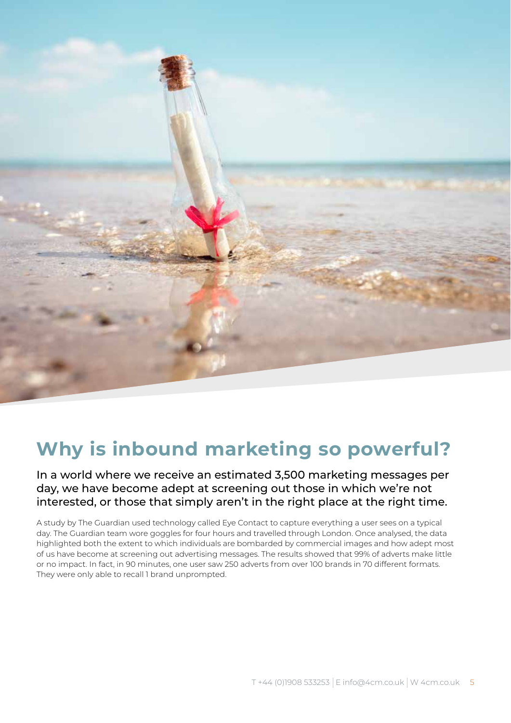

# **Why is inbound marketing so powerful?**

## In a world where we receive an estimated 3,500 marketing messages per day, we have become adept at screening out those in which we're not interested, or those that simply aren't in the right place at the right time.

A study by The Guardian used technology called Eye Contact to capture everything a user sees on a typical day. The Guardian team wore goggles for four hours and travelled through London. Once analysed, the data highlighted both the extent to which individuals are bombarded by commercial images and how adept most of us have become at screening out advertising messages. The results showed that 99% of adverts make little or no impact. In fact, in 90 minutes, one user saw 250 adverts from over 100 brands in 70 different formats. They were only able to recall 1 brand unprompted.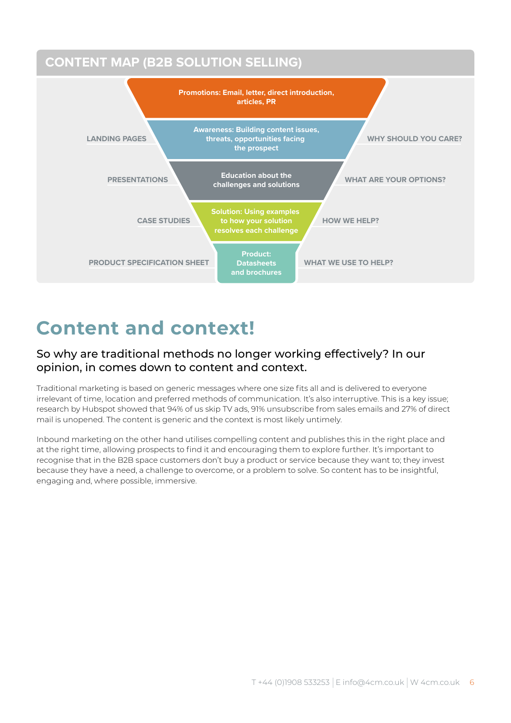

# **Content and context!**

# So why are traditional methods no longer working effectively? In our opinion, in comes down to content and context.

Traditional marketing is based on generic messages where one size fits all and is delivered to everyone irrelevant of time, location and preferred methods of communication. It's also interruptive. This is a key issue; research by Hubspot showed that 94% of us skip TV ads, 91% unsubscribe from sales emails and 27% of direct mail is unopened. The content is generic and the context is most likely untimely.

Inbound marketing on the other hand utilises compelling content and publishes this in the right place and at the right time, allowing prospects to find it and encouraging them to explore further. It's important to recognise that in the B2B space customers don't buy a product or service because they want to; they invest because they have a need, a challenge to overcome, or a problem to solve. So content has to be insightful, engaging and, where possible, immersive.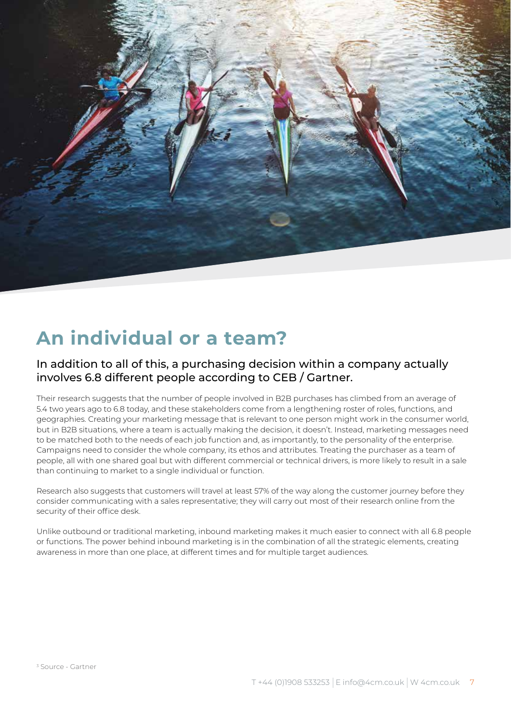

# **An individual or a team?**

## In addition to all of this, a purchasing decision within a company actually involves 6.8 different people according to CEB / Gartner.

Their research suggests that the number of people involved in B2B purchases has climbed from an average of 5.4 two years ago to 6.8 today, and these stakeholders come from a lengthening roster of roles, functions, and geographies. Creating your marketing message that is relevant to one person might work in the consumer world, but in B2B situations, where a team is actually making the decision, it doesn't. Instead, marketing messages need to be matched both to the needs of each job function and, as importantly, to the personality of the enterprise. Campaigns need to consider the whole company, its ethos and attributes. Treating the purchaser as a team of people, all with one shared goal but with different commercial or technical drivers, is more likely to result in a sale than continuing to market to a single individual or function.

Research also suggests that customers will travel at least 57% of the way along the customer journey before they consider communicating with a sales representative; they will carry out most of their research online from the security of their office desk.

Unlike outbound or traditional marketing, inbound marketing makes it much easier to connect with all 6.8 people or functions. The power behind inbound marketing is in the combination of all the strategic elements, creating awareness in more than one place, at different times and for multiple target audiences.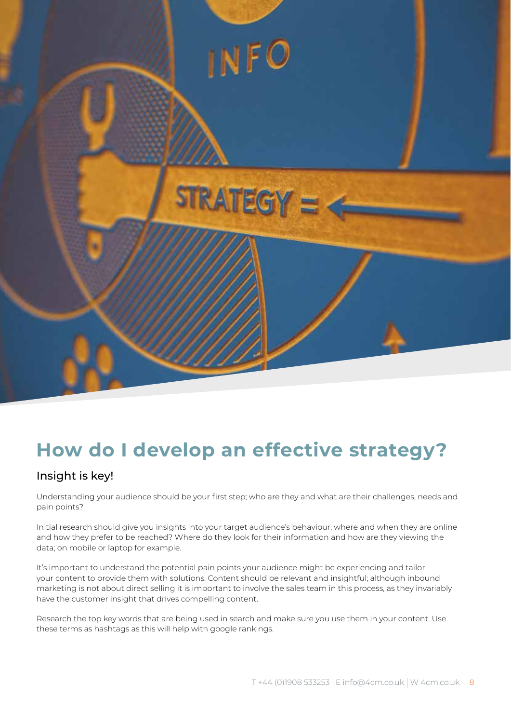

# **How do I develop an effective strategy?**

# Insight is key!

Understanding your audience should be your first step; who are they and what are their challenges, needs and pain points?

Initial research should give you insights into your target audience's behaviour, where and when they are online and how they prefer to be reached? Where do they look for their information and how are they viewing the data; on mobile or laptop for example.

It's important to understand the potential pain points your audience might be experiencing and tailor your content to provide them with solutions. Content should be relevant and insightful; although inbound marketing is not about direct selling it is important to involve the sales team in this process, as they invariably have the customer insight that drives compelling content.

Research the top key words that are being used in search and make sure you use them in your content. Use these terms as hashtags as this will help with google rankings.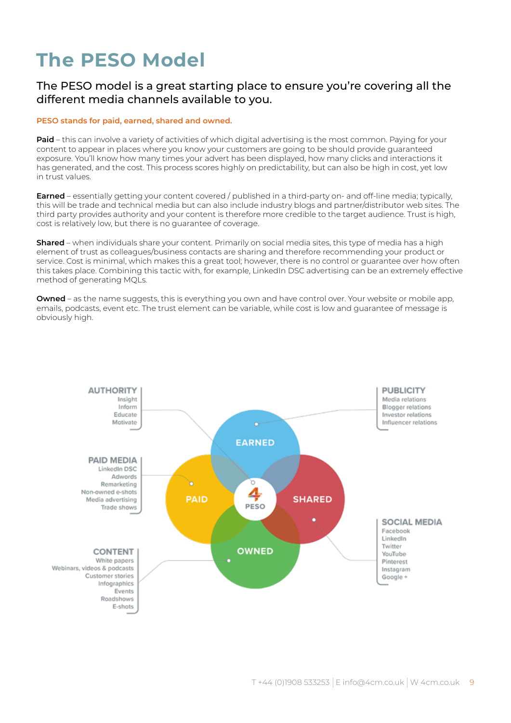# **The PESO Model**

## The PESO model is a great starting place to ensure you're covering all the different media channels available to you.

### **PESO stands for paid, earned, shared and owned.**

**Paid** – this can involve a variety of activities of which digital advertising is the most common. Paying for your content to appear in places where you know your customers are going to be should provide guaranteed exposure. You'll know how many times your advert has been displayed, how many clicks and interactions it has generated, and the cost. This process scores highly on predictability, but can also be high in cost, yet low in trust values.

**Earned** – essentially getting your content covered / published in a third-party on- and off-line media; typically, this will be trade and technical media but can also include industry blogs and partner/distributor web sites. The third party provides authority and your content is therefore more credible to the target audience. Trust is high, cost is relatively low, but there is no guarantee of coverage.

**Shared** – when individuals share your content. Primarily on social media sites, this type of media has a high element of trust as colleagues/business contacts are sharing and therefore recommending your product or service. Cost is minimal, which makes this a great tool; however, there is no control or guarantee over how often this takes place. Combining this tactic with, for example, LinkedIn DSC advertising can be an extremely effective method of generating MQLs.

**Owned** – as the name suggests, this is everything you own and have control over. Your website or mobile app, emails, podcasts, event etc. The trust element can be variable, while cost is low and guarantee of message is obviously high.

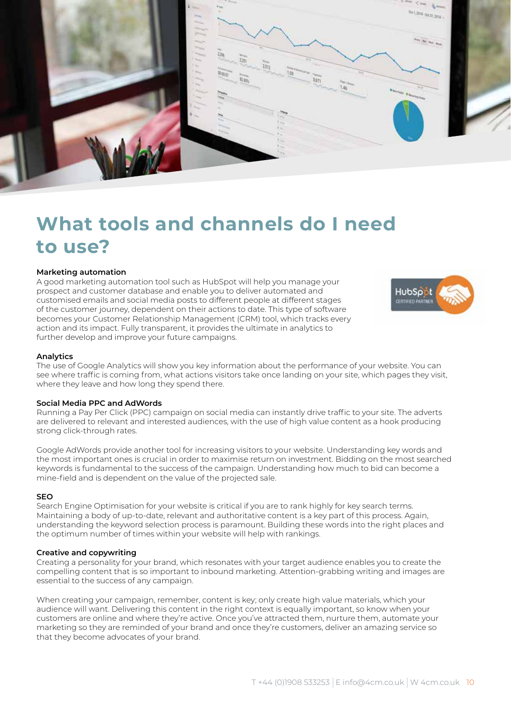

# **What tools and channels do I need to use?**

### **Marketing automation**

A good marketing automation tool such as HubSpot will help you manage your prospect and customer database and enable you to deliver automated and customised emails and social media posts to different people at different stages of the customer journey, dependent on their actions to date. This type of software becomes your Customer Relationship Management (CRM) tool, which tracks every action and its impact. Fully transparent, it provides the ultimate in analytics to further develop and improve your future campaigns.



### **Analytics**

The use of Google Analytics will show you key information about the performance of your website. You can see where traffic is coming from, what actions visitors take once landing on your site, which pages they visit, where they leave and how long they spend there.

### **Social Media PPC and AdWords**

Running a Pay Per Click (PPC) campaign on social media can instantly drive traffic to your site. The adverts are delivered to relevant and interested audiences, with the use of high value content as a hook producing strong click-through rates.

Google AdWords provide another tool for increasing visitors to your website. Understanding key words and the most important ones is crucial in order to maximise return on investment. Bidding on the most searched keywords is fundamental to the success of the campaign. Understanding how much to bid can become a mine-field and is dependent on the value of the projected sale.

### **SEO**

Search Engine Optimisation for your website is critical if you are to rank highly for key search terms. Maintaining a body of up-to-date, relevant and authoritative content is a key part of this process. Again, understanding the keyword selection process is paramount. Building these words into the right places and the optimum number of times within your website will help with rankings.

### **Creative and copywriting**

Creating a personality for your brand, which resonates with your target audience enables you to create the compelling content that is so important to inbound marketing. Attention-grabbing writing and images are essential to the success of any campaign.

When creating your campaign, remember, content is key; only create high value materials, which your audience will want. Delivering this content in the right context is equally important, so know when your customers are online and where they're active. Once you've attracted them, nurture them, automate your marketing so they are reminded of your brand and once they're customers, deliver an amazing service so that they become advocates of your brand.